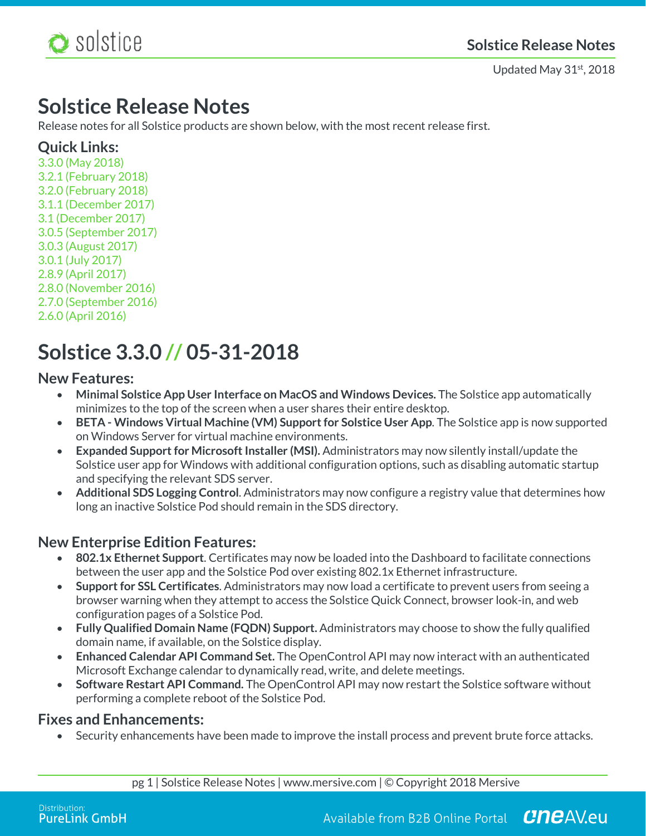

Updated May 31<sup>st</sup>, 2018

## **Solstice Release Notes**

Release notes for all Solstice products are shown below, with the most recent release first.

## **Quick Links:**

3.3.0 (May 2018) 3.2.1 (February 2018) 3.2.0 (February 2018) 3.1.1 (December 2017) 3.1 (December 2017) 3.0.5 (September 2017) 3.0.3 (August 2017) 3.0.1 (July 2017) 2.8.9 (April 2017) 2.8.0 (November 2016) 2.7.0 (September 2016) 2.6.0 (April 2016)

# **Solstice 3.3.0 // 05-31-2018**

### **New Features:**

- **Minimal Solstice App User Interface on MacOS and Windows Devices.** The Solstice app automatically minimizes to the top of the screen when a user shares their entire desktop.
- **BETA - Windows Virtual Machine (VM) Support for Solstice User App**. The Solstice app is now supported on Windows Server for virtual machine environments.
- **Expanded Support for Microsoft Installer (MSI).** Administrators may now silently install/update the Solstice user app for Windows with additional configuration options, such as disabling automatic startup and specifying the relevant SDS server.
- **Additional SDS Logging Control**. Administrators may now configure a registry value that determines how long an inactive Solstice Pod should remain in the SDS directory.

## **New Enterprise Edition Features:**

- **802.1x Ethernet Support**. Certificates may now be loaded into the Dashboard to facilitate connections between the user app and the Solstice Pod over existing 802.1x Ethernet infrastructure.
- **Support for SSL Certificates**. Administrators may now load a certificate to prevent users from seeing a browser warning when they attempt to access the Solstice Quick Connect, browser look-in, and web configuration pages of a Solstice Pod.
- **Fully Qualified Domain Name (FQDN) Support.** Administrators may choose to show the fully qualified domain name, if available, on the Solstice display.
- **Enhanced Calendar API Command Set.** The OpenControl API may now interact with an authenticated Microsoft Exchange calendar to dynamically read, write, and delete meetings.
- **Software Restart API Command.** The OpenControl API may now restart the Solstice software without performing a complete reboot of the Solstice Pod.

### **Fixes and Enhancements:**

• Security enhancements have been made to improve the install process and prevent brute force attacks.

pg 1 | Solstice Release Notes | www.mersive.com | © Copyright 2018 Mersive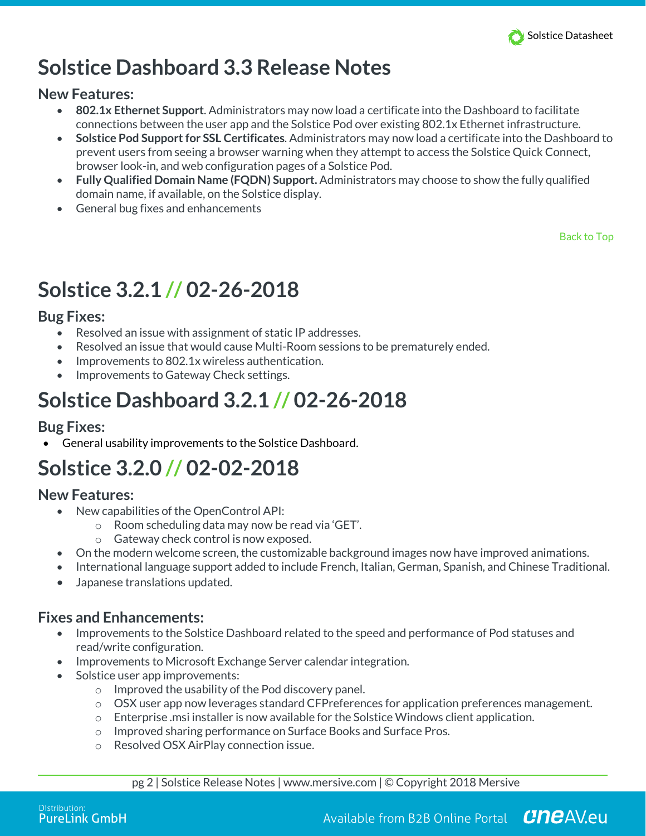

# **Solstice Dashboard 3.3 Release Notes**

### **New Features:**

- **802.1x Ethernet Support**. Administrators may now load a certificate into the Dashboard to facilitate connections between the user app and the Solstice Pod over existing 802.1x Ethernet infrastructure.
- **Solstice Pod Support for SSL Certificates**. Administrators may now load a certificate into the Dashboard to prevent users from seeing a browser warning when they attempt to access the Solstice Quick Connect, browser look-in, and web configuration pages of a Solstice Pod.
- **Fully Qualified Domain Name (FQDN) Support.** Administrators may choose to show the fully qualified domain name, if available, on the Solstice display.
- General bug fixes and enhancements

Back to Top

# **Solstice 3.2.1 // 02-26-2018**

### **Bug Fixes:**

- Resolved an issue with assignment of static IP addresses.
- Resolved an issue that would cause Multi-Room sessions to be prematurely ended.
- Improvements to 802.1x wireless authentication.
- Improvements to Gateway Check settings.

# **Solstice Dashboard 3.2.1 // 02-26-2018**

## **Bug Fixes:**

• General usability improvements to the Solstice Dashboard.

# **Solstice 3.2.0 // 02-02-2018**

## **New Features:**

- New capabilities of the OpenControl API:
	- o Room scheduling data may now be read via 'GET'.
	- o Gateway check control is now exposed.
- On the modern welcome screen, the customizable background images now have improved animations.
- International language support added to include French, Italian, German, Spanish, and Chinese Traditional.
- Japanese translations updated.

## **Fixes and Enhancements:**

- Improvements to the Solstice Dashboard related to the speed and performance of Pod statuses and read/write configuration.
- Improvements to Microsoft Exchange Server calendar integration.
- Solstice user app improvements:
	- o Improved the usability of the Pod discovery panel.
	- $\circ$  OSX user app now leverages standard CFPreferences for application preferences management.
	- $\circ$  Enterprise .msi installer is now available for the Solstice Windows client application.
	- o Improved sharing performance on Surface Books and Surface Pros.
	- o Resolved OSX AirPlay connection issue.

pg 2 | Solstice Release Notes | www.mersive.com | © Copyright 2018 Mersive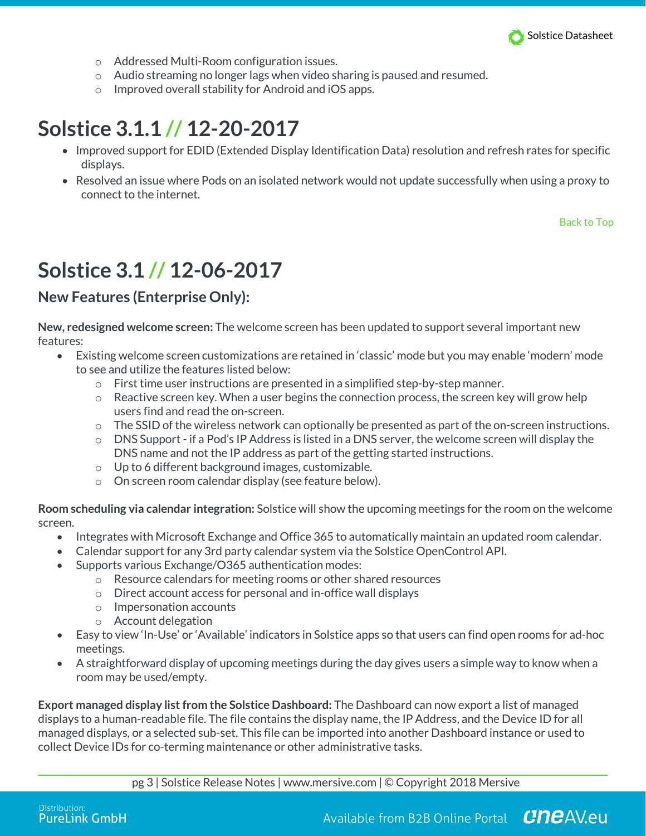

- o Addressed Multi-Room configuration issues.
- o Audio streaming no longer lags when video sharing is paused and resumed.
- o Improved overall stability for Android and iOS apps.

## **Solstice 3.1.1 // 12-20-2017**

- Improved support for EDID (Extended Display Identification Data) resolution and refresh rates for specific displays.
- Resolved an issue where Pods on an isolated network would not update successfully when using a proxy to connect to the internet.

Back to Top

## **Solstice 3.1 // 12-06-2017**

## **New Features (Enterprise Only):**

**New, redesigned welcome screen:** The welcome screen has been updated to support several important new features:

- Existing welcome screen customizations are retained in 'classic' mode but you may enable 'modern' mode to see and utilize the features listed below:
	- o First time user instructions are presented in a simplified step-by-step manner.
	- o Reactive screen key. When a user begins the connection process, the screen key will grow help users find and read the on-screen.
	- $\circ$  The SSID of the wireless network can optionally be presented as part of the on-screen instructions.
	- $\circ$  DNS Support if a Pod's IP Address is listed in a DNS server, the welcome screen will display the DNS name and not the IP address as part of the getting started instructions.
	- o Up to 6 different background images, customizable.
	- o On screen room calendar display (see feature below).

**Room scheduling via calendar integration:** Solstice will show the upcoming meetings for the room on the welcome screen.

- Integrates with Microsoft Exchange and Office 365 to automatically maintain an updated room calendar.
- Calendar support for any 3rd party calendar system via the Solstice OpenControl API.
- Supports various Exchange/O365 authentication modes:
	- o Resource calendars for meeting rooms or other shared resources
	- o Direct account access for personal and in-office wall displays
	- o Impersonation accounts
	- o Account delegation
- Easy to view 'In-Use' or 'Available' indicators in Solstice apps so that users can find open rooms for ad-hoc meetings.
- A straightforward display of upcoming meetings during the day gives users a simple way to know when a room may be used/empty.

**Export managed display list from the Solstice Dashboard:** The Dashboard can now export a list of managed displays to a human-readable file. The file contains the display name, the IP Address, and the Device ID for all managed displays, or a selected sub-set. This file can be imported into another Dashboard instance or used to collect Device IDs for co-terming maintenance or other administrative tasks.

pg 3 | Solstice Release Notes | www.mersive.com | © Copyright 2018 Mersive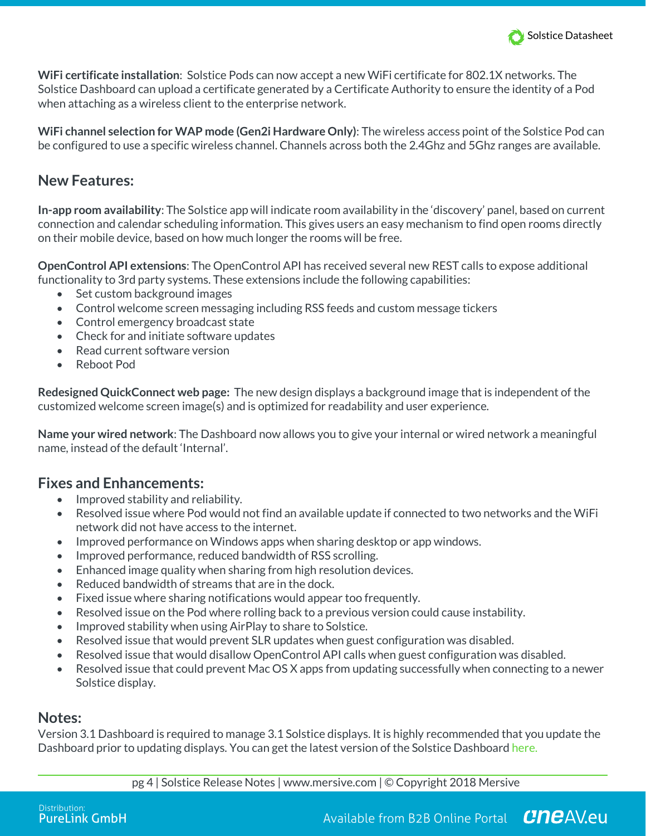

**WiFi certificate installation**: Solstice Pods can now accept a new WiFi certificate for 802.1X networks. The Solstice Dashboard can upload a certificate generated by a Certificate Authority to ensure the identity of a Pod when attaching as a wireless client to the enterprise network.

**WiFi channel selection for WAP mode (Gen2i Hardware Only)**: The wireless access point of the Solstice Pod can be configured to use a specific wireless channel. Channels across both the 2.4Ghz and 5Ghz ranges are available.

### **New Features:**

**In-app room availability**: The Solstice app will indicate room availability in the 'discovery' panel, based on current connection and calendar scheduling information. This gives users an easy mechanism to find open rooms directly on their mobile device, based on how much longer the rooms will be free.

**OpenControl API extensions**: The OpenControl API has received several new REST calls to expose additional functionality to 3rd party systems. These extensions include the following capabilities:

- Set custom background images
- Control welcome screen messaging including RSS feeds and custom message tickers
- Control emergency broadcast state
- Check for and initiate software updates
- Read current software version
- Reboot Pod

**Redesigned QuickConnect web page:** The new design displays a background image that is independent of the customized welcome screen image(s) and is optimized for readability and user experience.

**Name your wired network**: The Dashboard now allows you to give your internal or wired network a meaningful name, instead of the default 'Internal'.

## **Fixes and Enhancements:**

- Improved stability and reliability.
- Resolved issue where Pod would not find an available update if connected to two networks and the WiFi network did not have access to the internet.
- Improved performance on Windows apps when sharing desktop or app windows.
- Improved performance, reduced bandwidth of RSS scrolling.
- Enhanced image quality when sharing from high resolution devices.
- Reduced bandwidth of streams that are in the dock.
- Fixed issue where sharing notifications would appear too frequently.
- Resolved issue on the Pod where rolling back to a previous version could cause instability.
- Improved stability when using AirPlay to share to Solstice.
- Resolved issue that would prevent SLR updates when guest configuration was disabled.
- Resolved issue that would disallow OpenControl API calls when guest configuration was disabled.
- Resolved issue that could prevent Mac OS X apps from updating successfully when connecting to a newer Solstice display.

### **Notes:**

Version 3.1 Dashboard is required to manage 3.1 Solstice displays. It is highly recommended that you update the Dashboard prior to updating displays. You can get the latest version of the Solstice Dashboard here.

pg 4 | Solstice Release Notes | www.mersive.com | © Copyright 2018 Mersive

**CneAVeu** Available from B2B Online Portal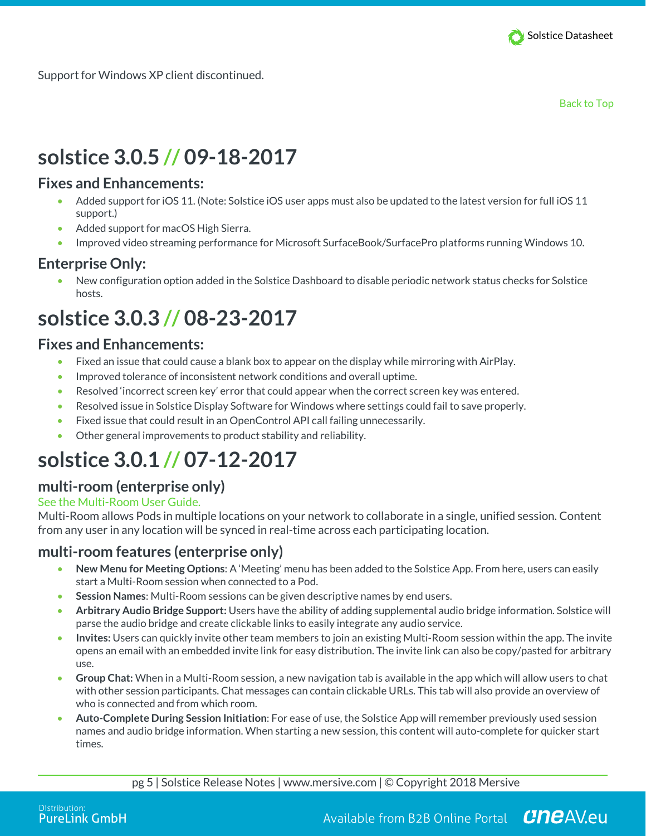

Support for Windows XP client discontinued.

Back to Top

# **solstice 3.0.5 // 09-18-2017**

### **Fixes and Enhancements:**

- Added support for iOS 11. (Note: Solstice iOS user apps must also be updated to the latest version for full iOS 11 support.)
- Added support for macOS High Sierra.
- Improved video streaming performance for Microsoft SurfaceBook/SurfacePro platforms running Windows 10.

## **Enterprise Only:**

• New configuration option added in the Solstice Dashboard to disable periodic network status checks for Solstice hosts.

# **solstice 3.0.3 // 08-23-2017**

### **Fixes and Enhancements:**

- Fixed an issue that could cause a blank box to appear on the display while mirroring with AirPlay.
- Improved tolerance of inconsistent network conditions and overall uptime.
- Resolved 'incorrect screen key' error that could appear when the correct screen key was entered.
- Resolved issue in Solstice Display Software for Windows where settings could fail to save properly.
- Fixed issue that could result in an OpenControl API call failing unnecessarily.
- Other general improvements to product stability and reliability.

# **solstice 3.0.1 // 07-12-2017**

### **multi-room (enterprise only)**

#### See the Multi-Room User Guide.

Multi-Room allows Pods in multiple locations on your network to collaborate in a single, unified session. Content from any user in any location will be synced in real-time across each participating location.

### **multi-room features (enterprise only)**

- **New Menu for Meeting Options**: A 'Meeting' menu has been added to the Solstice App. From here, users can easily start a Multi-Room session when connected to a Pod.
- **Session Names**: Multi-Room sessions can be given descriptive names by end users.
- **Arbitrary Audio Bridge Support:** Users have the ability of adding supplemental audio bridge information. Solstice will parse the audio bridge and create clickable links to easily integrate any audio service.
- **Invites:** Users can quickly invite other team members to join an existing Multi-Room session within the app. The invite opens an email with an embedded invite link for easy distribution. The invite link can also be copy/pasted for arbitrary use.
- **Group Chat:** When in a Multi-Room session, a new navigation tab is available in the app which will allow users to chat with other session participants. Chat messages can contain clickable URLs. This tab will also provide an overview of who is connected and from which room.
- **Auto-Complete During Session Initiation**: For ease of use, the Solstice App will remember previously used session names and audio bridge information. When starting a new session, this content will auto-complete for quicker start times.

pg 5 | Solstice Release Notes | www.mersive.com | © Copyright 2018 Mersive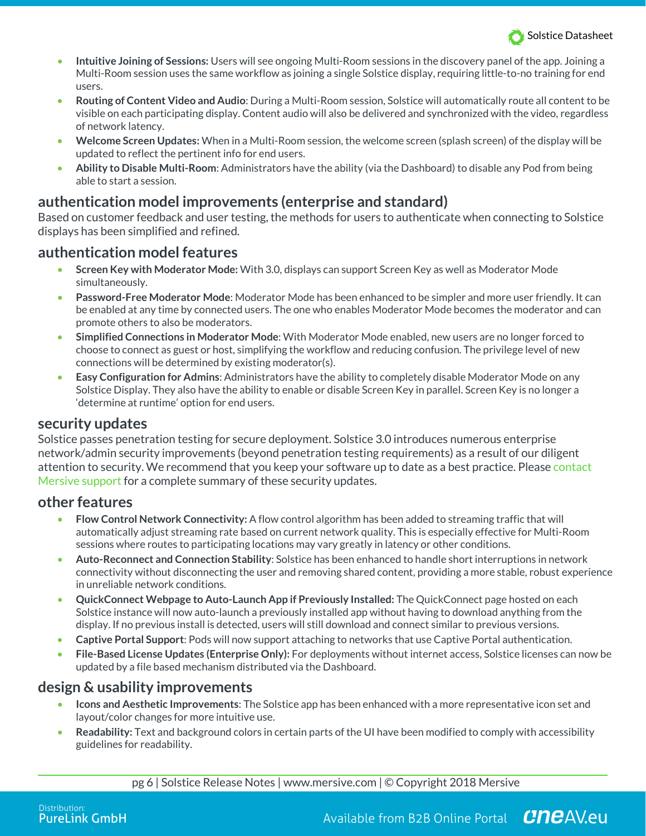

- **Intuitive Joining of Sessions:** Users will see ongoing Multi-Room sessions in the discovery panel of the app. Joining a Multi-Room session uses the same workflow as joining a single Solstice display, requiring little-to-no training for end users.
- **Routing of Content Video and Audio**: During a Multi-Room session, Solstice will automatically route all content to be visible on each participating display. Content audio will also be delivered and synchronized with the video, regardless of network latency.
- **Welcome Screen Updates:** When in a Multi-Room session, the welcome screen (splash screen) of the display will be updated to reflect the pertinent info for end users.
- **Ability to Disable Multi-Room**: Administrators have the ability (via the Dashboard) to disable any Pod from being able to start a session.

### **authentication model improvements (enterprise and standard)**

Based on customer feedback and user testing, the methods for users to authenticate when connecting to Solstice displays has been simplified and refined.

### **authentication model features**

- **Screen Key with Moderator Mode:** With 3.0, displays can support Screen Key as well as Moderator Mode simultaneously.
- **Password-Free Moderator Mode**: Moderator Mode has been enhanced to be simpler and more user friendly. It can be enabled at any time by connected users. The one who enables Moderator Mode becomes the moderator and can promote others to also be moderators.
- **Simplified Connections in Moderator Mode**: With Moderator Mode enabled, new users are no longer forced to choose to connect as guest or host, simplifying the workflow and reducing confusion. The privilege level of new connections will be determined by existing moderator(s).
- **Easy Configuration for Admins**: Administrators have the ability to completely disable Moderator Mode on any Solstice Display. They also have the ability to enable or disable Screen Key in parallel. Screen Key is no longer a 'determine at runtime' option for end users.

### **security updates**

Solstice passes penetration testing for secure deployment. Solstice 3.0 introduces numerous enterprise network/admin security improvements (beyond penetration testing requirements) as a result of our diligent attention to security. We recommend that you keep your software up to date as a best practice. Please contact Mersive support for a complete summary of these security updates.

#### **other features**

- **Flow Control Network Connectivity:** A flow control algorithm has been added to streaming traffic that will automatically adjust streaming rate based on current network quality. This is especially effective for Multi-Room sessions where routes to participating locations may vary greatly in latency or other conditions.
- **Auto-Reconnect and Connection Stability**: Solstice has been enhanced to handle short interruptions in network connectivity without disconnecting the user and removing shared content, providing a more stable, robust experience in unreliable network conditions.
- **QuickConnect Webpage to Auto-Launch App if Previously Installed:** The QuickConnect page hosted on each Solstice instance will now auto-launch a previously installed app without having to download anything from the display. If no previous install is detected, users will still download and connect similar to previous versions.
- **Captive Portal Support**: Pods will now support attaching to networks that use Captive Portal authentication.
- **File-Based License Updates (Enterprise Only):** For deployments without internet access, Solstice licenses can now be updated by a file based mechanism distributed via the Dashboard.

### **design & usability improvements**

- **Icons and Aesthetic Improvements**: The Solstice app has been enhanced with a more representative icon set and layout/color changes for more intuitive use.
- **Readability:** Text and background colors in certain parts of the UI have been modified to comply with accessibility guidelines for readability.

pg 6 | Solstice Release Notes | www.mersive.com | © Copyright 2018 Mersive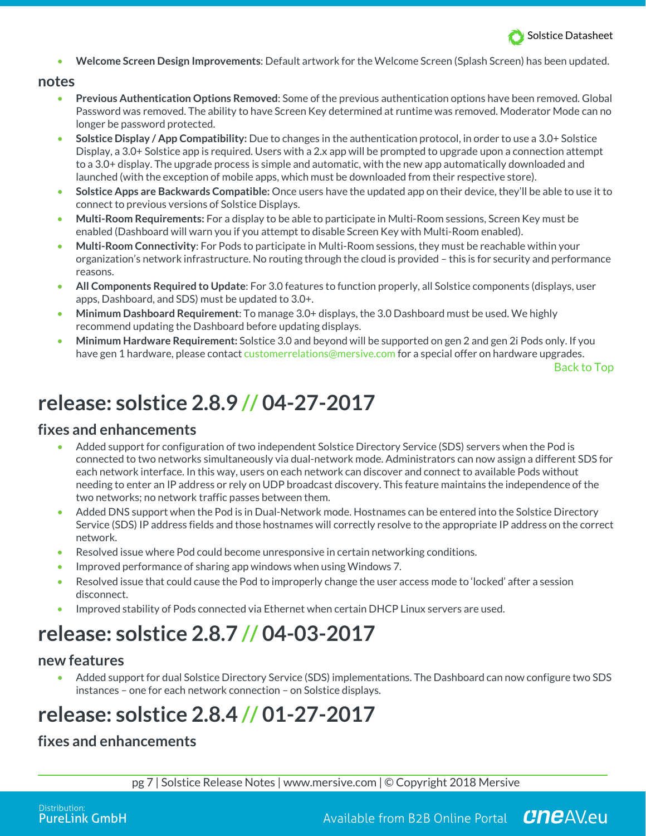

• **Welcome Screen Design Improvements**: Default artwork for the Welcome Screen (Splash Screen) has been updated.

#### **notes**

- **Previous Authentication Options Removed**: Some of the previous authentication options have been removed. Global Password was removed. The ability to have Screen Key determined at runtime was removed. Moderator Mode can no longer be password protected.
- **Solstice Display / App Compatibility:** Due to changes in the authentication protocol, in order to use a 3.0+ Solstice Display, a 3.0+ Solstice app is required. Users with a 2.x app will be prompted to upgrade upon a connection attempt to a 3.0+ display. The upgrade process is simple and automatic, with the new app automatically downloaded and launched (with the exception of mobile apps, which must be downloaded from their respective store).
- **Solstice Apps are Backwards Compatible:** Once users have the updated app on their device, they'll be able to use it to connect to previous versions of Solstice Displays.
- **Multi-Room Requirements:** For a display to be able to participate in Multi-Room sessions, Screen Key must be enabled (Dashboard will warn you if you attempt to disable Screen Key with Multi-Room enabled).
- **Multi-Room Connectivity**: For Pods to participate in Multi-Room sessions, they must be reachable within your organization's network infrastructure. No routing through the cloud is provided – this is for security and performance reasons.
- **All Components Required to Update**: For 3.0 features to function properly, all Solstice components (displays, user apps, Dashboard, and SDS) must be updated to 3.0+.
- **Minimum Dashboard Requirement**: To manage 3.0+ displays, the 3.0 Dashboard must be used. We highly recommend updating the Dashboard before updating displays.
- **Minimum Hardware Requirement:** Solstice 3.0 and beyond will be supported on gen 2 and gen 2i Pods only. If you have gen 1 hardware, please contact customerrelations@mersive.com for a special offer on hardware upgrades.

Back to Top

## **release: solstice 2.8.9 // 04-27-2017**

#### **fixes and enhancements**

- Added support for configuration of two independent Solstice Directory Service (SDS) servers when the Pod is connected to two networks simultaneously via dual-network mode. Administrators can now assign a different SDS for each network interface. In this way, users on each network can discover and connect to available Pods without needing to enter an IP address or rely on UDP broadcast discovery. This feature maintains the independence of the two networks; no network traffic passes between them.
- Added DNS support when the Pod is in Dual-Network mode. Hostnames can be entered into the Solstice Directory Service (SDS) IP address fields and those hostnames will correctly resolve to the appropriate IP address on the correct network.
- Resolved issue where Pod could become unresponsive in certain networking conditions.
- Improved performance of sharing app windows when using Windows 7.
- Resolved issue that could cause the Pod to improperly change the user access mode to 'locked' after a session disconnect.
- Improved stability of Pods connected via Ethernet when certain DHCP Linux servers are used.

## **release: solstice 2.8.7 // 04-03-2017**

#### **new features**

• Added support for dual Solstice Directory Service (SDS) implementations. The Dashboard can now configure two SDS instances – one for each network connection – on Solstice displays.

# **release: solstice 2.8.4 // 01-27-2017**

### **fixes and enhancements**

pg 7 | Solstice Release Notes | www.mersive.com | © Copyright 2018 Mersive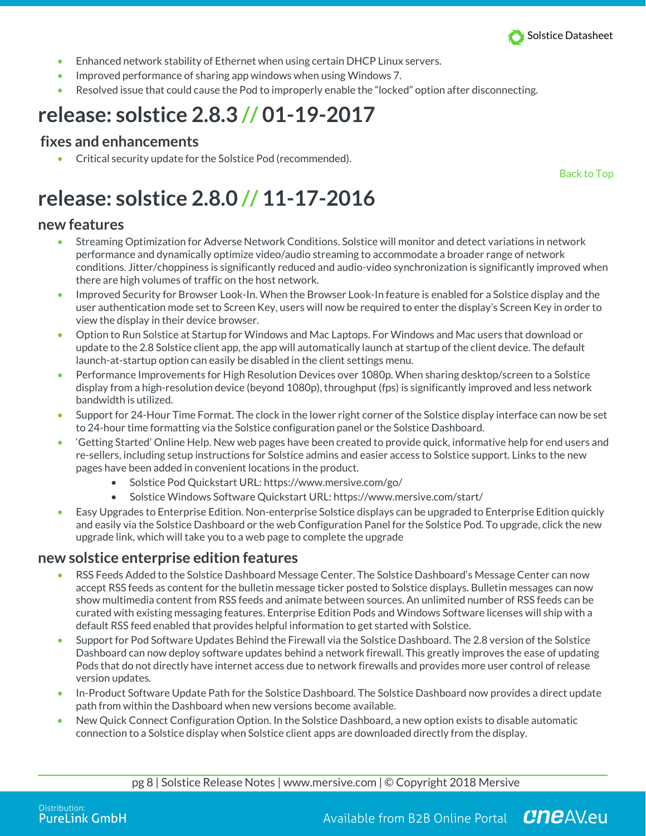

- Enhanced network stability of Ethernet when using certain DHCP Linux servers.
- Improved performance of sharing app windows when using Windows 7.
- Resolved issue that could cause the Pod to improperly enable the "locked" option after disconnecting.

## **release: solstice 2.8.3 // 01-19-2017**

#### **fixes and enhancements**

• Critical security update for the Solstice Pod (recommended).

Back to Top

# **release: solstice 2.8.0 // 11-17-2016**

#### **new features**

- Streaming Optimization for Adverse Network Conditions. Solstice will monitor and detect variations in network performance and dynamically optimize video/audio streaming to accommodate a broader range of network conditions. Jitter/choppiness is significantly reduced and audio-video synchronization is significantly improved when there are high volumes of traffic on the host network.
- Improved Security for Browser Look-In. When the Browser Look-In feature is enabled for a Solstice display and the user authentication mode set to Screen Key, users will now be required to enter the display's Screen Key in order to view the display in their device browser.
- Option to Run Solstice at Startup for Windows and Mac Laptops. For Windows and Mac users that download or update to the 2.8 Solstice client app, the app will automatically launch at startup of the client device. The default launch-at-startup option can easily be disabled in the client settings menu.
- Performance Improvements for High Resolution Devices over 1080p. When sharing desktop/screen to a Solstice display from a high-resolution device (beyond 1080p), throughput (fps) is significantly improved and less network bandwidth is utilized.
- Support for 24-Hour Time Format. The clock in the lower right corner of the Solstice display interface can now be set to 24-hour time formatting via the Solstice configuration panel or the Solstice Dashboard.
- 'Getting Started' Online Help. New web pages have been created to provide quick, informative help for end users and re-sellers, including setup instructions for Solstice admins and easier access to Solstice support. Links to the new pages have been added in convenient locations in the product.
	- Solstice Pod Quickstart URL: https://www.mersive.com/go/
	- Solstice Windows Software Quickstart URL: https://www.mersive.com/start/
- Easy Upgrades to Enterprise Edition. Non-enterprise Solstice displays can be upgraded to Enterprise Edition quickly and easily via the Solstice Dashboard or the web Configuration Panel for the Solstice Pod. To upgrade, click the new upgrade link, which will take you to a web page to complete the upgrade

#### **new solstice enterprise edition features**

- RSS Feeds Added to the Solstice Dashboard Message Center. The Solstice Dashboard's Message Center can now accept RSS feeds as content for the bulletin message ticker posted to Solstice displays. Bulletin messages can now show multimedia content from RSS feeds and animate between sources. An unlimited number of RSS feeds can be curated with existing messaging features. Enterprise Edition Pods and Windows Software licenses will ship with a default RSS feed enabled that provides helpful information to get started with Solstice.
- Support for Pod Software Updates Behind the Firewall via the Solstice Dashboard. The 2.8 version of the Solstice Dashboard can now deploy software updates behind a network firewall. This greatly improves the ease of updating Pods that do not directly have internet access due to network firewalls and provides more user control of release version updates.
- In-Product Software Update Path for the Solstice Dashboard. The Solstice Dashboard now provides a direct update path from within the Dashboard when new versions become available.
- New Quick Connect Configuration Option. In the Solstice Dashboard, a new option exists to disable automatic connection to a Solstice display when Solstice client apps are downloaded directly from the display.

pg 8 | Solstice Release Notes | www.mersive.com | © Copyright 2018 Mersive

Available from B2B Online Portal  $Cnc$ AV.eu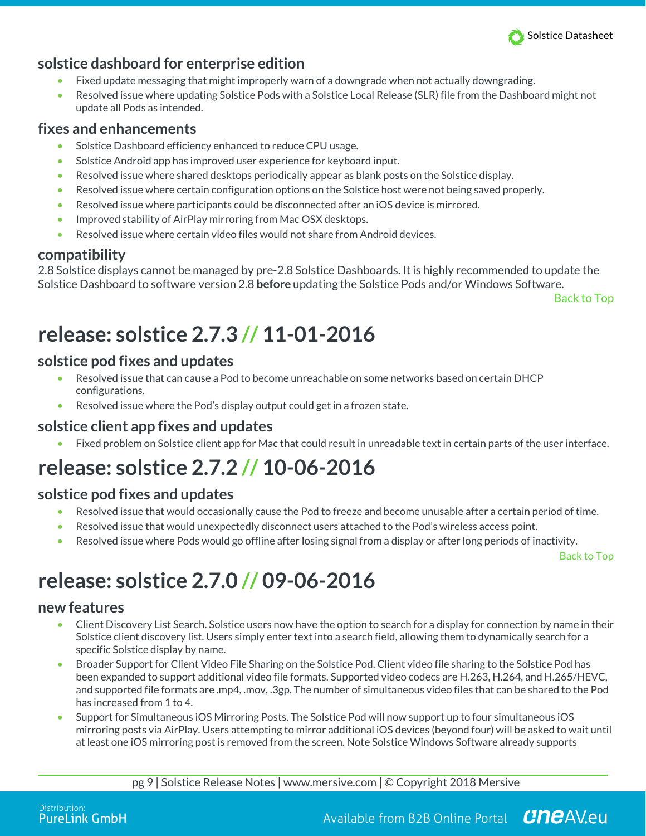

## **solstice dashboard for enterprise edition**

- Fixed update messaging that might improperly warn of a downgrade when not actually downgrading.
- Resolved issue where updating Solstice Pods with a Solstice Local Release (SLR) file from the Dashboard might not update all Pods as intended.

### **fixes and enhancements**

- Solstice Dashboard efficiency enhanced to reduce CPU usage.
- Solstice Android app has improved user experience for keyboard input.
- Resolved issue where shared desktops periodically appear as blank posts on the Solstice display.
- Resolved issue where certain configuration options on the Solstice host were not being saved properly.
- Resolved issue where participants could be disconnected after an iOS device is mirrored.
- Improved stability of AirPlay mirroring from Mac OSX desktops.
- Resolved issue where certain video files would not share from Android devices.

### **compatibility**

2.8 Solstice displays cannot be managed by pre-2.8 Solstice Dashboards. It is highly recommended to update the Solstice Dashboard to software version 2.8 **before** updating the Solstice Pods and/or Windows Software.

Back to Top

# **release: solstice 2.7.3 // 11-01-2016**

### **solstice pod fixes and updates**

- Resolved issue that can cause a Pod to become unreachable on some networks based on certain DHCP configurations.
- Resolved issue where the Pod's display output could get in a frozen state.

### **solstice client app fixes and updates**

• Fixed problem on Solstice client app for Mac that could result in unreadable text in certain parts of the user interface.

# **release: solstice 2.7.2 // 10-06-2016**

### **solstice pod fixes and updates**

- Resolved issue that would occasionally cause the Pod to freeze and become unusable after a certain period of time.
- Resolved issue that would unexpectedly disconnect users attached to the Pod's wireless access point.
- Resolved issue where Pods would go offline after losing signal from a display or after long periods of inactivity.

Back to Top

# **release: solstice 2.7.0 // 09-06-2016**

### **new features**

- Client Discovery List Search. Solstice users now have the option to search for a display for connection by name in their Solstice client discovery list. Users simply enter text into a search field, allowing them to dynamically search for a specific Solstice display by name.
- Broader Support for Client Video File Sharing on the Solstice Pod. Client video file sharing to the Solstice Pod has been expanded to support additional video file formats. Supported video codecs are H.263, H.264, and H.265/HEVC, and supported file formats are .mp4, .mov, .3gp. The number of simultaneous video files that can be shared to the Pod has increased from 1 to 4.
- Support for Simultaneous iOS Mirroring Posts. The Solstice Pod will now support up to four simultaneous iOS mirroring posts via AirPlay. Users attempting to mirror additional iOS devices (beyond four) will be asked to wait until at least one iOS mirroring post is removed from the screen. Note Solstice Windows Software already supports

pg 9 | Solstice Release Notes | www.mersive.com | © Copyright 2018 Mersive

Available from B2B Online Portal **CNCAV.eu**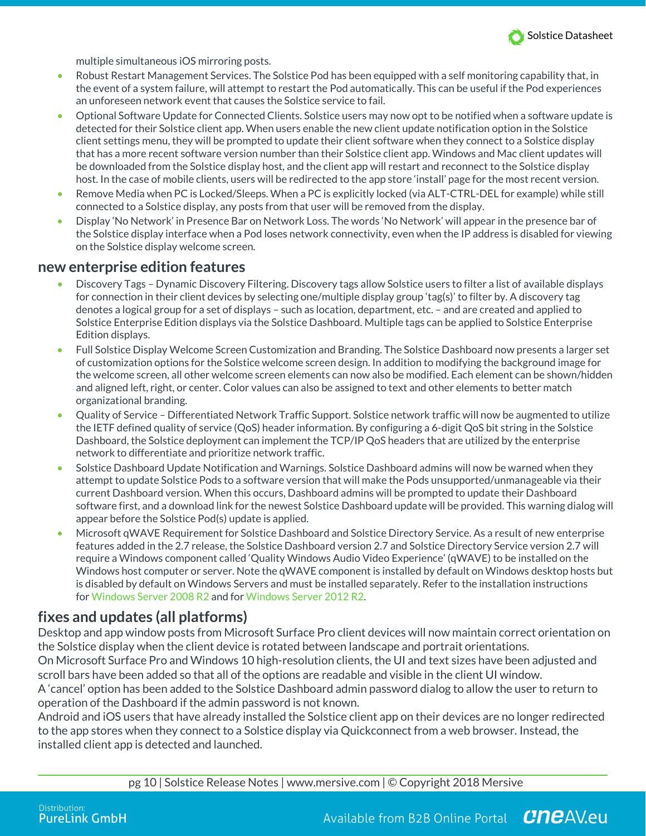

multiple simultaneous iOS mirroring posts.

- Robust Restart Management Services. The Solstice Pod has been equipped with a self monitoring capability that, in the event of a system failure, will attempt to restart the Pod automatically. This can be useful if the Pod experiences an unforeseen network event that causes the Solstice service to fail.
- Optional Software Update for Connected Clients. Solstice users may now opt to be notified when a software update is detected for their Solstice client app. When users enable the new client update notification option in the Solstice client settings menu, they will be prompted to update their client software when they connect to a Solstice display that has a more recent software version number than their Solstice client app. Windows and Mac client updates will be downloaded from the Solstice display host, and the client app will restart and reconnect to the Solstice display host. In the case of mobile clients, users will be redirected to the app store 'install' page for the most recent version.
- Remove Media when PC is Locked/Sleeps. When a PC is explicitly locked (via ALT-CTRL-DEL for example) while still connected to a Solstice display, any posts from that user will be removed from the display.
- Display 'No Network' in Presence Bar on Network Loss. The words 'No Network' will appear in the presence bar of the Solstice display interface when a Pod loses network connectivity, even when the IP address is disabled for viewing on the Solstice display welcome screen.

#### **new enterprise edition features**

- Discovery Tags Dynamic Discovery Filtering. Discovery tags allow Solstice users to filter a list of available displays for connection in their client devices by selecting one/multiple display group 'tag(s)' to filter by. A discovery tag denotes a logical group for a set of displays – such as location, department, etc. – and are created and applied to Solstice Enterprise Edition displays via the Solstice Dashboard. Multiple tags can be applied to Solstice Enterprise Edition displays.
- Full Solstice Display Welcome Screen Customization and Branding. The Solstice Dashboard now presents a larger set of customization options for the Solstice welcome screen design. In addition to modifying the background image for the welcome screen, all other welcome screen elements can now also be modified. Each element can be shown/hidden and aligned left, right, or center. Color values can also be assigned to text and other elements to better match organizational branding.
- Quality of Service Differentiated Network Traffic Support. Solstice network traffic will now be augmented to utilize the IETF defined quality of service (QoS) header information. By configuring a 6-digit QoS bit string in the Solstice Dashboard, the Solstice deployment can implement the TCP/IP QoS headers that are utilized by the enterprise network to differentiate and prioritize network traffic.
- Solstice Dashboard Update Notification and Warnings. Solstice Dashboard admins will now be warned when they attempt to update Solstice Pods to a software version that will make the Pods unsupported/unmanageable via their current Dashboard version. When this occurs, Dashboard admins will be prompted to update their Dashboard software first, and a download link for the newest Solstice Dashboard update will be provided. This warning dialog will appear before the Solstice Pod(s) update is applied.
- Microsoft qWAVE Requirement for Solstice Dashboard and Solstice Directory Service. As a result of new enterprise features added in the 2.7 release, the Solstice Dashboard version 2.7 and Solstice Directory Service version 2.7 will require a Windows component called 'Quality Windows Audio Video Experience' (qWAVE) to be installed on the Windows host computer or server. Note the qWAVE component is installed by default on Windows desktop hosts but is disabled by default on Windows Servers and must be installed separately. Refer to the installation instructions for Windows Server 2008 R2 and for Windows Server 2012 R2.

## **fixes and updates (all platforms)**

Desktop and app window posts from Microsoft Surface Pro client devices will now maintain correct orientation on the Solstice display when the client device is rotated between landscape and portrait orientations. On Microsoft Surface Pro and Windows 10 high-resolution clients, the UI and text sizes have been adjusted and scroll bars have been added so that all of the options are readable and visible in the client UI window. A 'cancel' option has been added to the Solstice Dashboard admin password dialog to allow the user to return to operation of the Dashboard if the admin password is not known.

Android and iOS users that have already installed the Solstice client app on their devices are no longer redirected to the app stores when they connect to a Solstice display via Quickconnect from a web browser. Instead, the installed client app is detected and launched.

pg 10 | Solstice Release Notes | www.mersive.com | © Copyright 2018 Mersive

Available from B2B Online Portal CneAV.eu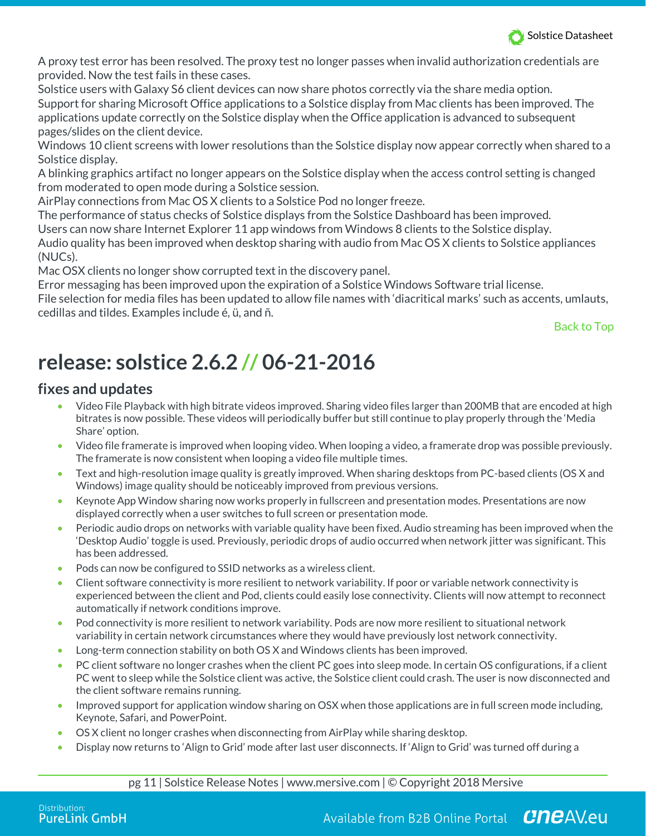

A proxy test error has been resolved. The proxy test no longer passes when invalid authorization credentials are provided. Now the test fails in these cases.

Solstice users with Galaxy S6 client devices can now share photos correctly via the share media option. Support for sharing Microsoft Office applications to a Solstice display from Mac clients has been improved. The applications update correctly on the Solstice display when the Office application is advanced to subsequent pages/slides on the client device.

Windows 10 client screens with lower resolutions than the Solstice display now appear correctly when shared to a Solstice display.

A blinking graphics artifact no longer appears on the Solstice display when the access control setting is changed from moderated to open mode during a Solstice session.

AirPlay connections from Mac OS X clients to a Solstice Pod no longer freeze.

The performance of status checks of Solstice displays from the Solstice Dashboard has been improved. Users can now share Internet Explorer 11 app windows from Windows 8 clients to the Solstice display. Audio quality has been improved when desktop sharing with audio from Mac OS X clients to Solstice appliances (NUCs).

Mac OSX clients no longer show corrupted text in the discovery panel.

Error messaging has been improved upon the expiration of a Solstice Windows Software trial license. File selection for media files has been updated to allow file names with 'diacritical marks' such as accents, umlauts, cedillas and tildes. Examples include é, ü, and ñ.

Back to Top

# **release: solstice 2.6.2 // 06-21-2016**

## **fixes and updates**

- Video File Playback with high bitrate videos improved. Sharing video files larger than 200MB that are encoded at high bitrates is now possible. These videos will periodically buffer but still continue to play properly through the 'Media Share' option.
- Video file framerate is improved when looping video. When looping a video, a framerate drop was possible previously. The framerate is now consistent when looping a video file multiple times.
- Text and high-resolution image quality is greatly improved. When sharing desktops from PC-based clients (OS X and Windows) image quality should be noticeably improved from previous versions.
- Keynote App Window sharing now works properly in fullscreen and presentation modes. Presentations are now displayed correctly when a user switches to full screen or presentation mode.
- Periodic audio drops on networks with variable quality have been fixed. Audio streaming has been improved when the 'Desktop Audio' toggle is used. Previously, periodic drops of audio occurred when network jitter was significant. This has been addressed.
- Pods can now be configured to SSID networks as a wireless client.
- Client software connectivity is more resilient to network variability. If poor or variable network connectivity is experienced between the client and Pod, clients could easily lose connectivity. Clients will now attempt to reconnect automatically if network conditions improve.
- Pod connectivity is more resilient to network variability. Pods are now more resilient to situational network variability in certain network circumstances where they would have previously lost network connectivity.
- Long-term connection stability on both OS X and Windows clients has been improved.
- PC client software no longer crashes when the client PC goes into sleep mode. In certain OS configurations, if a client PC went to sleep while the Solstice client was active, the Solstice client could crash. The user is now disconnected and the client software remains running.
- Improved support for application window sharing on OSX when those applications are in full screen mode including, Keynote, Safari, and PowerPoint.
- OS X client no longer crashes when disconnecting from AirPlay while sharing desktop.
- Display now returns to 'Align to Grid' mode after last user disconnects. If 'Align to Grid' was turned off during a

pg 11 | Solstice Release Notes | www.mersive.com | © Copyright 2018 Mersive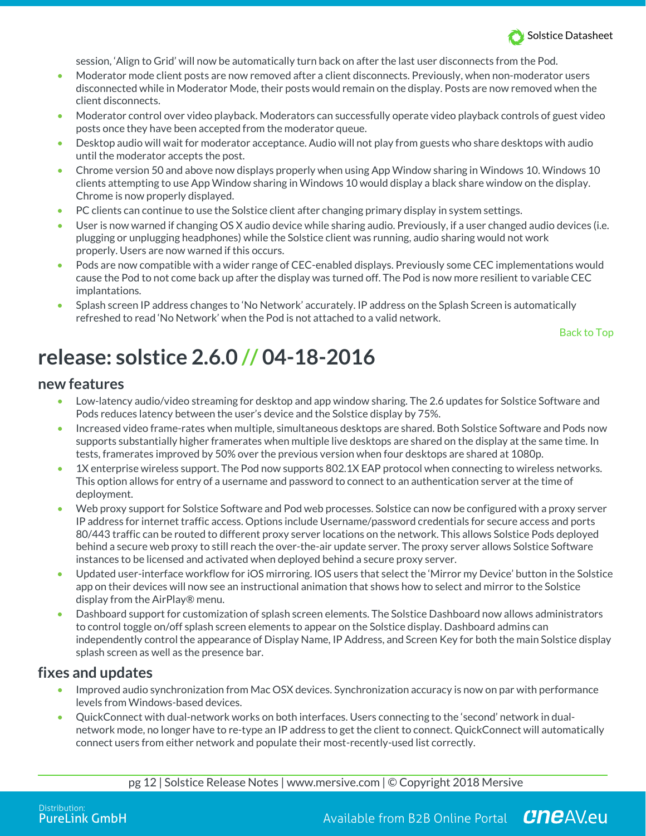

session, 'Align to Grid' will now be automatically turn back on after the last user disconnects from the Pod.

- Moderator mode client posts are now removed after a client disconnects. Previously, when non-moderator users disconnected while in Moderator Mode, their posts would remain on the display. Posts are now removed when the client disconnects.
- Moderator control over video playback. Moderators can successfully operate video playback controls of guest video posts once they have been accepted from the moderator queue.
- Desktop audio will wait for moderator acceptance. Audio will not play from guests who share desktops with audio until the moderator accepts the post.
- Chrome version 50 and above now displays properly when using App Window sharing in Windows 10. Windows 10 clients attempting to use App Window sharing in Windows 10 would display a black share window on the display. Chrome is now properly displayed.
- PC clients can continue to use the Solstice client after changing primary display in system settings.
- User is now warned if changing OS X audio device while sharing audio. Previously, if a user changed audio devices (i.e. plugging or unplugging headphones) while the Solstice client was running, audio sharing would not work properly. Users are now warned if this occurs.
- Pods are now compatible with a wider range of CEC-enabled displays. Previously some CEC implementations would cause the Pod to not come back up after the display was turned off. The Pod is now more resilient to variable CEC implantations.
- Splash screen IP address changes to 'No Network' accurately. IP address on the Splash Screen is automatically refreshed to read 'No Network' when the Pod is not attached to a valid network.

Back to Top

## **release: solstice 2.6.0 // 04-18-2016**

#### **new features**

- Low-latency audio/video streaming for desktop and app window sharing. The 2.6 updates for Solstice Software and Pods reduces latency between the user's device and the Solstice display by 75%.
- Increased video frame-rates when multiple, simultaneous desktops are shared. Both Solstice Software and Pods now supports substantially higher framerates when multiple live desktops are shared on the display at the same time. In tests, framerates improved by 50% over the previous version when four desktops are shared at 1080p.
- 1X enterprise wireless support. The Pod now supports 802.1X EAP protocol when connecting to wireless networks. This option allows for entry of a username and password to connect to an authentication server at the time of deployment.
- Web proxy support for Solstice Software and Pod web processes. Solstice can now be configured with a proxy server IP address for internet traffic access. Options include Username/password credentials for secure access and ports 80/443 traffic can be routed to different proxy server locations on the network. This allows Solstice Pods deployed behind a secure web proxy to still reach the over-the-air update server. The proxy server allows Solstice Software instances to be licensed and activated when deployed behind a secure proxy server.
- Updated user-interface workflow for iOS mirroring. IOS users that select the 'Mirror my Device' button in the Solstice app on their devices will now see an instructional animation that shows how to select and mirror to the Solstice display from the AirPlay® menu.
- Dashboard support for customization of splash screen elements. The Solstice Dashboard now allows administrators to control toggle on/off splash screen elements to appear on the Solstice display. Dashboard admins can independently control the appearance of Display Name, IP Address, and Screen Key for both the main Solstice display splash screen as well as the presence bar.

#### **fixes and updates**

- Improved audio synchronization from Mac OSX devices. Synchronization accuracy is now on par with performance levels from Windows-based devices.
- QuickConnect with dual-network works on both interfaces. Users connecting to the 'second' network in dualnetwork mode, no longer have to re-type an IP address to get the client to connect. QuickConnect will automatically connect users from either network and populate their most-recently-used list correctly.

pg 12 | Solstice Release Notes | www.mersive.com | © Copyright 2018 Mersive

Available from B2B Online Portal CneAV.eu